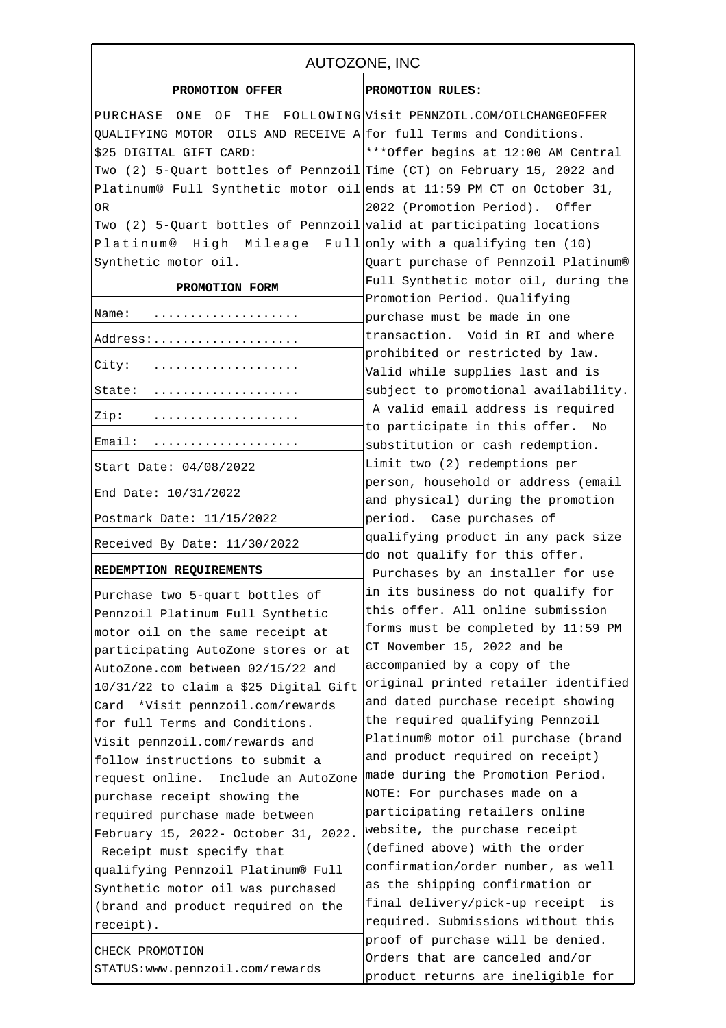| AUTOZONE, INC                                                          |                                                                           |
|------------------------------------------------------------------------|---------------------------------------------------------------------------|
| PROMOTION OFFER                                                        | PROMOTION RULES:                                                          |
| PURCHASE ONE                                                           | OF THE FOLLOWING Visit PENNZOIL.COM/OILCHANGEOFFER                        |
| QUALIFYING MOTOR OILS AND RECEIVE A for full Terms and Conditions.     |                                                                           |
| \$25 DIGITAL GIFT CARD:                                                | *** Offer begins at 12:00 AM Central                                      |
| Two (2) 5-Quart bottles of Pennzoil Time (CT) on February 15, 2022 and |                                                                           |
| Platinum® Full Synthetic motor oil ends at 11:59 PM CT on October 31,  |                                                                           |
| 0R                                                                     | 2022 (Promotion Period). Offer                                            |
| Two (2) 5-Quart bottles of Pennzoil valid at participating locations   |                                                                           |
| Platinum® High Mileage Full only with a qualifying ten (10)            |                                                                           |
| Synthetic motor oil.                                                   | Quart purchase of Pennzoil Platinum®                                      |
| PROMOTION FORM                                                         | Full Synthetic motor oil, during the                                      |
|                                                                        | Promotion Period. Qualifying                                              |
| Name:                                                                  | purchase must be made in one                                              |
| Address:                                                               | transaction. Void in RI and where                                         |
|                                                                        | prohibited or restricted by law.                                          |
| City:                                                                  | Valid while supplies last and is                                          |
| State:                                                                 | subject to promotional availability.                                      |
| Zip:                                                                   | A valid email address is required                                         |
| Email:                                                                 | to participate in this offer. No<br>substitution or cash redemption.      |
| Start Date: 04/08/2022                                                 | Limit two (2) redemptions per                                             |
| End Date: 10/31/2022                                                   | person, household or address (email<br>and physical) during the promotion |
| Postmark Date: 11/15/2022                                              | period. Case purchases of                                                 |
| Received By Date: 11/30/2022                                           | qualifying product in any pack size                                       |
| REDEMPTION REQUIREMENTS                                                | do not qualify for this offer.<br>Purchases by an installer for use       |
| Purchase two 5-quart bottles of                                        | in its business do not qualify for                                        |
| Pennzoil Platinum Full Synthetic                                       | this offer. All online submission                                         |
| motor oil on the same receipt at                                       | forms must be completed by 11:59 PM                                       |
| participating AutoZone stores or at                                    | CT November 15, 2022 and be                                               |
| AutoZone.com between 02/15/22 and                                      | accompanied by a copy of the                                              |
| 10/31/22 to claim a \$25 Digital Gift                                  | original printed retailer identified                                      |
| Card *Visit pennzoil.com/rewards                                       | and dated purchase receipt showing                                        |
| for full Terms and Conditions.                                         | the required qualifying Pennzoil                                          |
| Visit pennzoil.com/rewards and                                         | Platinum® motor oil purchase (brand                                       |
| follow instructions to submit a                                        | and product required on receipt)                                          |
| request online. Include an AutoZone                                    | made during the Promotion Period.                                         |
| purchase receipt showing the                                           | NOTE: For purchases made on a                                             |
| required purchase made between                                         | participating retailers online                                            |
| February 15, 2022- October 31, 2022.                                   | website, the purchase receipt                                             |
| Receipt must specify that                                              | (defined above) with the order                                            |
| qualifying Pennzoil Platinum® Full                                     | confirmation/order number, as well                                        |
| Synthetic motor oil was purchased                                      | as the shipping confirmation or                                           |
| (brand and product required on the                                     | final delivery/pick-up receipt<br>is                                      |
| receipt).                                                              | required. Submissions without this                                        |
|                                                                        | proof of purchase will be denied.                                         |
| CHECK PROMOTION                                                        | Orders that are canceled and/or                                           |
| STATUS: www.pennzoil.com/rewards                                       | product returns are ineligible for                                        |